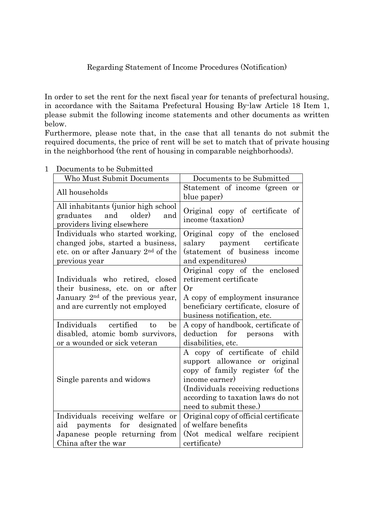## Regarding Statement of Income Procedures (Notification)

In order to set the rent for the next fiscal year for tenants of prefectural housing, in accordance with the Saitama Prefectural Housing By-law Article 18 Item 1, please submit the following income statements and other documents as written below.

Furthermore, please note that, in the case that all tenants do not submit the required documents, the price of rent will be set to match that of private housing in the neighborhood (the rent of housing in comparable neighborhoods).

| Who Must Submit Documents                                                                                                                              | Documents to be Submitted                                                                                                                                                                                                 |
|--------------------------------------------------------------------------------------------------------------------------------------------------------|---------------------------------------------------------------------------------------------------------------------------------------------------------------------------------------------------------------------------|
| All households                                                                                                                                         | Statement of income (green or<br>blue paper)                                                                                                                                                                              |
| All inhabitants (junior high school<br>older)<br>and<br>graduates<br>and<br>providers living elsewhere                                                 | Original copy of certificate of<br>income (taxation)                                                                                                                                                                      |
| Individuals who started working,<br>changed jobs, started a business,<br>etc. on or after January 2 <sup>nd</sup> of the<br>previous year              | Original copy of the enclosed<br>salary payment<br>certificate<br>(statement of business income<br>and expenditures)                                                                                                      |
| Individuals who retired, closed<br>their business, etc. on or after<br>January 2 <sup>nd</sup> of the previous year,<br>and are currently not employed | Original copy of the enclosed<br>retirement certificate<br>Or<br>A copy of employment insurance<br>beneficiary certificate, closure of<br>business notification, etc.                                                     |
| Individuals certified to<br>be<br>disabled, atomic bomb survivors,<br>or a wounded or sick veteran                                                     | A copy of handbook, certificate of<br>deduction for persons<br>with<br>disabilities, etc.                                                                                                                                 |
| Single parents and widows                                                                                                                              | A copy of certificate of child<br>support allowance or original<br>copy of family register (of the<br>income earner)<br>(Individuals receiving reductions)<br>according to taxation laws do not<br>need to submit these.) |
| Individuals receiving welfare or                                                                                                                       | Original copy of official certificate                                                                                                                                                                                     |
| payments for<br>designated<br>aid                                                                                                                      | of welfare benefits                                                                                                                                                                                                       |
| Japanese people returning from                                                                                                                         | (Not medical welfare recipient                                                                                                                                                                                            |
| China after the war                                                                                                                                    | certificate)                                                                                                                                                                                                              |

1 Documents to be Submitted